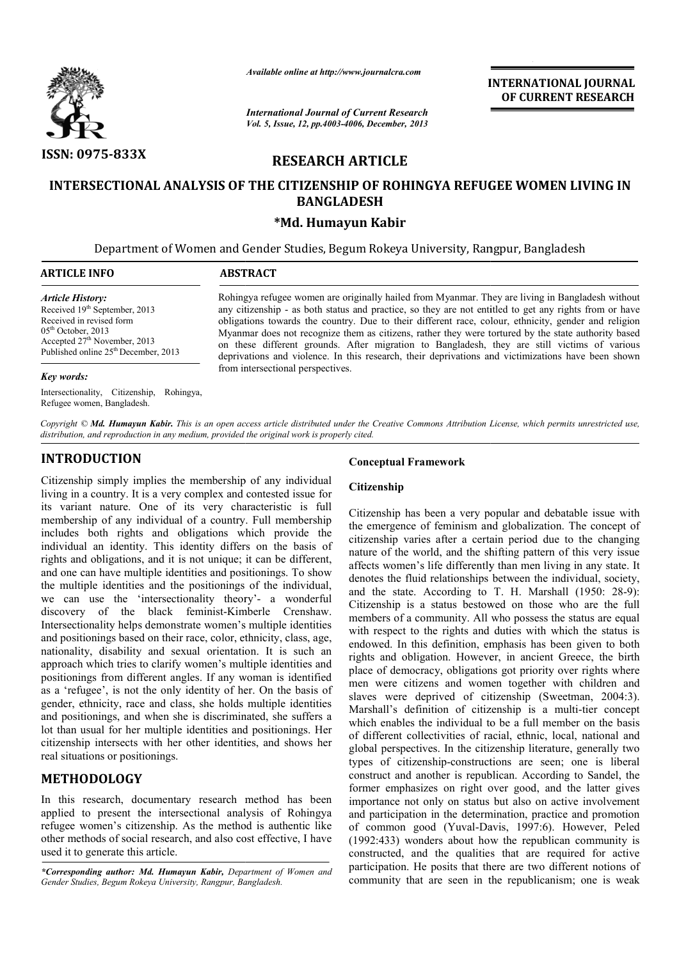

*Available online at http://www.journalcra.com*

*International Journal of Current Research Vol. 5, Issue, 12, pp.4003-4006, December, 2013* INTERNATIONAL JOURNAL OF CURRENT RESEARCH

# RESEARCH ARTICLE

## INTERSECTIONAL ANALYSIS OF THE CITIZENSHIP OF ROHINGYA REFUGEE WOMEN LIVING IN BANGLADESH

### \*Md. Humayun Kabir

Department of Women and Gender Studies, Begum Rokeya University, Rangpur, Bangladesh Rangpur, Bangladesh

| ARTICLE INFO                                                                                                                                                                                                             | <b>ABSTRACT</b>                                                                                                                                                                                                                                                                                                                                                                                                                                                                                                                                                                                                                 |
|--------------------------------------------------------------------------------------------------------------------------------------------------------------------------------------------------------------------------|---------------------------------------------------------------------------------------------------------------------------------------------------------------------------------------------------------------------------------------------------------------------------------------------------------------------------------------------------------------------------------------------------------------------------------------------------------------------------------------------------------------------------------------------------------------------------------------------------------------------------------|
| <b>Article History:</b><br>Received 19 <sup>th</sup> September, 2013<br>Received in revised form<br>$05th$ October, 2013<br>Accepted 27 <sup>th</sup> November, 2013<br>Published online 25 <sup>th</sup> December, 2013 | Rohingya refugee women are originally hailed from Myanmar. They are living in Bangladesh without<br>any citizenship - as both status and practice, so they are not entitled to get any rights from or have<br>obligations towards the country. Due to their different race, colour, ethnicity, gender and religion<br>Myanmar does not recognize them as citizens, rather they were tortured by the state authority based<br>on these different grounds. After migration to Bangladesh, they are still victims of various<br>deprivations and violence. In this research, their deprivations and victimizations have been shown |
| Key words:                                                                                                                                                                                                               | from intersectional perspectives.                                                                                                                                                                                                                                                                                                                                                                                                                                                                                                                                                                                               |
| Intersectionality. Citizenship. Rohingya.                                                                                                                                                                                |                                                                                                                                                                                                                                                                                                                                                                                                                                                                                                                                                                                                                                 |

Intersectionality, Citizenship, Rohingya, Refugee women, Bangladesh.

Copyright © Md. Humayun Kabir. This is an open access article distributed under the Creative Commons Attribution License, which permits unrestricted use, *distribution, and reproduction in any medium, provided the original work is properly cited.*

## INTRODUCTION

Citizenship simply implies the membership of any individual living in a country. It is a very complex and contested issue for its variant nature. One of its very characteristic is full membership of any individual of a country. Full membership includes both rights and obligations which provide the individual an identity. This identity differs on the basis of rights and obligations, and it is not unique; it can be different, and one can have multiple identities and positionings. To show the multiple identities and the positionings of the individual, we can use the 'intersectionality theory'- a wonderful discovery of the black feminist-Kimberle Crenshaw. Intersectionality helps demonstrate women's multiple identities and positionings based on their race, color, ethnicity, class, age, nationality, disability and sexual orientation. It is such an approach which tries to clarify women's multiple identities and positionings from different angles. If any woman is identified as a 'refugee', is not the only identity of her. On the basis of gender, ethnicity, race and class, she holds multiple identities and positionings, and when she is discriminated, she suffers a lot than usual for her multiple identities and positionings. Her citizenship intersects with her other identities, and shows her real situations or positionings. h rights and obligations which provide the identity. This identity differs on the basis of ligations, and it is not unique; it can be different, have multiple identities and positionings. To show identities and the positi or the black feminist-Kimberle<br>
onality helps demonstrate women's multi<br>
ionings based on their race, color, ethnicity,<br>
y, disability and sexual orientation. It<br>
which tries to clarify women's multiple is<br>
ges from differ

## METHODOLOGY

In this research, documentary research method has been applied to present the intersectional analysis of Rohingya refugee women's citizenship. As the method is authentic like other methods of social research, and also cost effective, I have used it to generate this article.

*\*Corresponding author: Md. Humayun Kabir, Department of Women and Gender Studies, Begum Rokeya University, Rangpur, Bangladesh Bangladesh.*

### Conceptual Framework

### Citizenship

Citizenship has been a very popular and debatable issue with the emergence of feminism and globalization. The concept of citizenship varies after a certain period due to the changing nature of the world, and the shifting pattern of this very i affects women's life differently than men living in any state. It denotes the fluid relationships between the individual, society, affects women's life differently than men living in any state. It denotes the fluid relationships between the individual, society, and the state. According to T. H. Marshall (1950: 28-9): Citizenship is a status bestowed on those who are the full members of a community. All who possess the status are equal with respect to the rights and duties with which the status is endowed. In this definition, emphasis has been given to both rights and obligation. However, in ancient Greece, the birth place of democracy, obligations got priority over rights where men were citizens and women together with children and slaves were deprived of citizenship (Sweetman, 2004:3). Marshall's definition of citizenship is a multi-tier concept which enables the individual to be a full member on the basis of different collectivities of racial, ethnic, local, national and global perspectives. In the citizenship literature, generally two of different collectivities of racial, ethnic, local, national and global perspectives. In the citizenship literature, generally two types of citizenship-constructions are seen; one is liberal construct and another is republican. According to Sandel, the former emphasizes on right over good, and the latter gives importance not only on status but also on active involvement and participation in the determination, practice and promotion of common good (Yuval-Davis, 1997:6). However, (1992:433) wonders about how the republican community is constructed, and the qualities that are required for active participation. He posits that there are two different notions of community that are seen in the republicanism; one is weak Citizenship has been a very popular and debatable issue with<br>the emergence of feminism and globalization. The concept of<br>citizenship varies after a certain period due to the changing<br>nature of the world, and the shifting p ers of a community. All who possess the status are equal respect to the rights and duties with which the status is wed. In this definition, emphasis has been given to both and obligation. However, in ancient Greece, the bi right over good, and the latter gives<br>status but also on active involvement<br>determination, practice and promotion<br>wal-Davis, 1997:6). However, Peled **EXERCT CONSTRANT CONSTRANT CONSTRANT CONSTRANT CONSTRANT CONSTRANT OF CONSTRANT OF CONSTRANT TRESEARCH AND THE CONSTRANT CONSTRANT (FOR FOR THE CONSTRANT) THAT THE THAT THE REPUBLICATION CONSTRANT TREAT THE CONSTRANT CONS**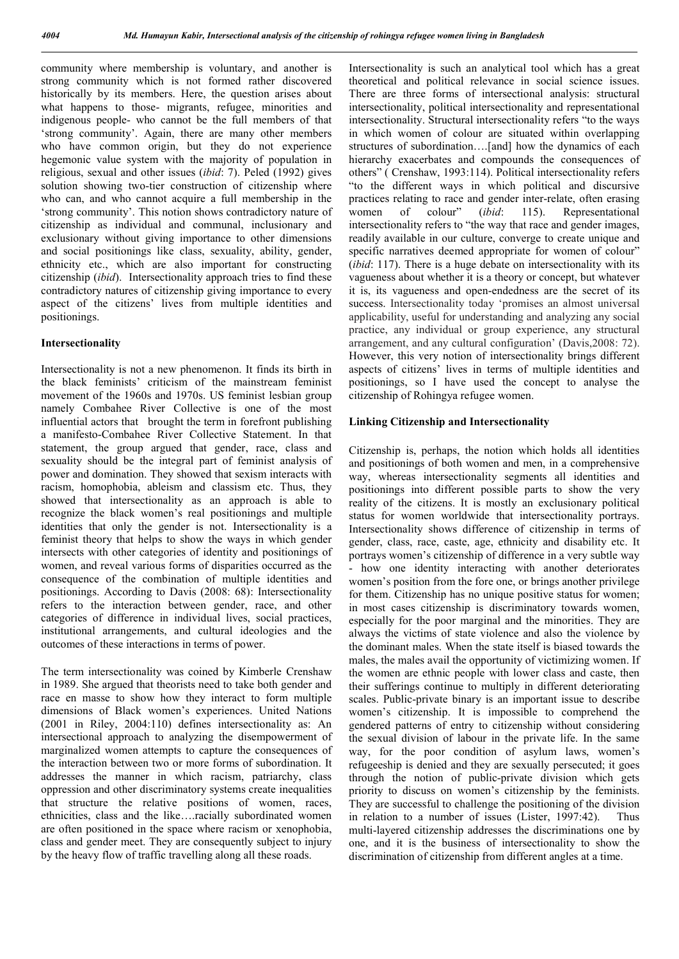community where membership is voluntary, and another is strong community which is not formed rather discovered historically by its members. Here, the question arises about what happens to those- migrants, refugee, minorities and indigenous people- who cannot be the full members of that 'strong community'. Again, there are many other members who have common origin, but they do not experience hegemonic value system with the majority of population in religious, sexual and other issues (*ibid*: 7). Peled (1992) gives solution showing two-tier construction of citizenship where who can, and who cannot acquire a full membership in the 'strong community'. This notion shows contradictory nature of citizenship as individual and communal, inclusionary and exclusionary without giving importance to other dimensions and social positionings like class, sexuality, ability, gender, ethnicity etc., which are also important for constructing citizenship (*ibid*). Intersectionality approach tries to find these contradictory natures of citizenship giving importance to every aspect of the citizens' lives from multiple identities and positionings.

### Intersectionality

Intersectionality is not a new phenomenon. It finds its birth in the black feminists' criticism of the mainstream feminist movement of the 1960s and 1970s. US feminist lesbian group namely Combahee River Collective is one of the most influential actors that brought the term in forefront publishing a manifesto-Combahee River Collective Statement. In that statement, the group argued that gender, race, class and sexuality should be the integral part of feminist analysis of power and domination. They showed that sexism interacts with racism, homophobia, ableism and classism etc. Thus, they showed that intersectionality as an approach is able to recognize the black women's real positionings and multiple identities that only the gender is not. Intersectionality is a feminist theory that helps to show the ways in which gender intersects with other categories of identity and positionings of women, and reveal various forms of disparities occurred as the consequence of the combination of multiple identities and positionings. According to Davis (2008: 68): Intersectionality refers to the interaction between gender, race, and other categories of difference in individual lives, social practices, institutional arrangements, and cultural ideologies and the outcomes of these interactions in terms of power.

The term intersectionality was coined by Kimberle Crenshaw in 1989. She argued that theorists need to take both gender and race en masse to show how they interact to form multiple dimensions of Black women's experiences. United Nations (2001 in Riley, 2004:110) defines intersectionality as: An intersectional approach to analyzing the disempowerment of marginalized women attempts to capture the consequences of the interaction between two or more forms of subordination. It addresses the manner in which racism, patriarchy, class oppression and other discriminatory systems create inequalities that structure the relative positions of women, races, ethnicities, class and the like….racially subordinated women are often positioned in the space where racism or xenophobia, class and gender meet. They are consequently subject to injury by the heavy flow of traffic travelling along all these roads.

Intersectionality is such an analytical tool which has a great theoretical and political relevance in social science issues. There are three forms of intersectional analysis: structural intersectionality, political intersectionality and representational intersectionality. Structural intersectionality refers "to the ways in which women of colour are situated within overlapping structures of subordination….[and] how the dynamics of each hierarchy exacerbates and compounds the consequences of others" ( Crenshaw, 1993:114). Political intersectionality refers "to the different ways in which political and discursive practices relating to race and gender inter-relate, often erasing women of colour" (*ibid*: 115). Representational intersectionality refers to "the way that race and gender images, readily available in our culture, converge to create unique and specific narratives deemed appropriate for women of colour" (*ibid*: 117). There is a huge debate on intersectionality with its vagueness about whether it is a theory or concept, but whatever it is, its vagueness and open-endedness are the secret of its success. Intersectionality today 'promises an almost universal applicability, useful for understanding and analyzing any social practice, any individual or group experience, any structural arrangement, and any cultural configuration' (Davis,2008: 72). However, this very notion of intersectionality brings different aspects of citizens' lives in terms of multiple identities and positionings, so I have used the concept to analyse the citizenship of Rohingya refugee women.

#### Linking Citizenship and Intersectionality

Citizenship is, perhaps, the notion which holds all identities and positionings of both women and men, in a comprehensive way, whereas intersectionality segments all identities and positionings into different possible parts to show the very reality of the citizens. It is mostly an exclusionary political status for women worldwide that intersectionality portrays. Intersectionality shows difference of citizenship in terms of gender, class, race, caste, age, ethnicity and disability etc. It portrays women's citizenship of difference in a very subtle way - how one identity interacting with another deteriorates women's position from the fore one, or brings another privilege for them. Citizenship has no unique positive status for women; in most cases citizenship is discriminatory towards women, especially for the poor marginal and the minorities. They are always the victims of state violence and also the violence by the dominant males. When the state itself is biased towards the males, the males avail the opportunity of victimizing women. If the women are ethnic people with lower class and caste, then their sufferings continue to multiply in different deteriorating scales. Public-private binary is an important issue to describe women's citizenship. It is impossible to comprehend the gendered patterns of entry to citizenship without considering the sexual division of labour in the private life. In the same way, for the poor condition of asylum laws, women's refugeeship is denied and they are sexually persecuted; it goes through the notion of public-private division which gets priority to discuss on women's citizenship by the feminists. They are successful to challenge the positioning of the division in relation to a number of issues (Lister, 1997:42). Thus multi-layered citizenship addresses the discriminations one by one, and it is the business of intersectionality to show the discrimination of citizenship from different angles at a time.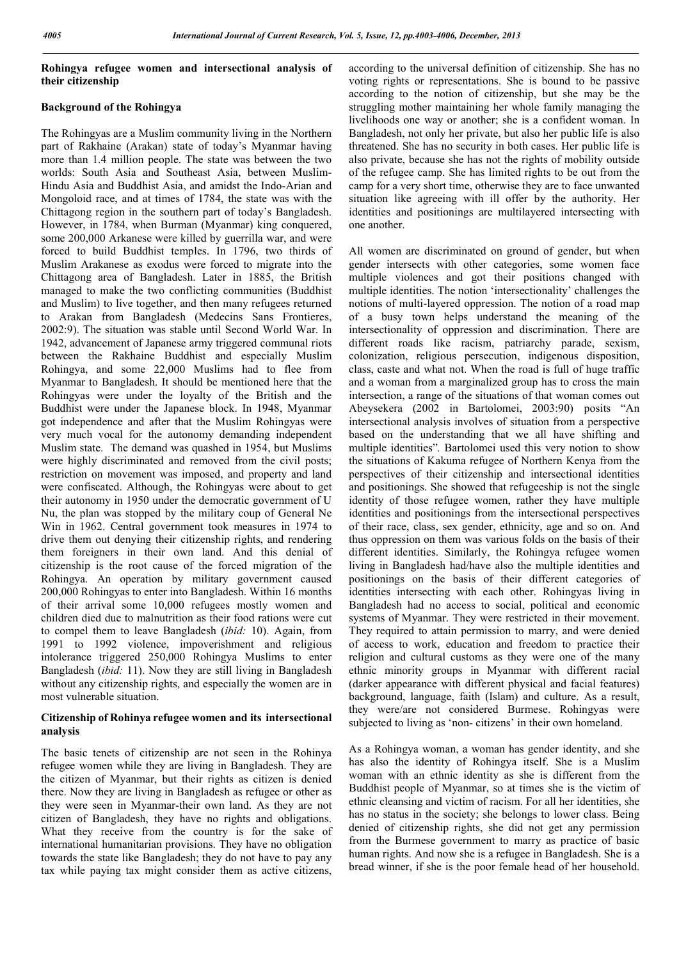### Rohingya refugee women and intersectional analysis of their citizenship

#### Background of the Rohingya

The Rohingyas are a Muslim community living in the Northern part of Rakhaine (Arakan) state of today's Myanmar having more than 1.4 million people. The state was between the two worlds: South Asia and Southeast Asia, between Muslim-Hindu Asia and Buddhist Asia, and amidst the Indo-Arian and Mongoloid race, and at times of 1784, the state was with the Chittagong region in the southern part of today's Bangladesh. However, in 1784, when Burman (Myanmar) king conquered, some 200,000 Arkanese were killed by guerrilla war, and were forced to build Buddhist temples. In 1796, two thirds of Muslim Arakanese as exodus were forced to migrate into the Chittagong area of Bangladesh. Later in 1885, the British managed to make the two conflicting communities (Buddhist and Muslim) to live together, and then many refugees returned to Arakan from Bangladesh (Medecins Sans Frontieres, 2002:9). The situation was stable until Second World War. In 1942, advancement of Japanese army triggered communal riots between the Rakhaine Buddhist and especially Muslim Rohingya, and some 22,000 Muslims had to flee from Myanmar to Bangladesh. It should be mentioned here that the Rohingyas were under the loyalty of the British and the Buddhist were under the Japanese block. In 1948, Myanmar got independence and after that the Muslim Rohingyas were very much vocal for the autonomy demanding independent Muslim state. The demand was quashed in 1954, but Muslims were highly discriminated and removed from the civil posts; restriction on movement was imposed, and property and land were confiscated. Although, the Rohingyas were about to get their autonomy in 1950 under the democratic government of U Nu, the plan was stopped by the military coup of General Ne Win in 1962. Central government took measures in 1974 to drive them out denying their citizenship rights, and rendering them foreigners in their own land. And this denial of citizenship is the root cause of the forced migration of the Rohingya. An operation by military government caused 200,000 Rohingyas to enter into Bangladesh. Within 16 months of their arrival some 10,000 refugees mostly women and children died due to malnutrition as their food rations were cut to compel them to leave Bangladesh (*ibid:* 10). Again, from 1991 to 1992 violence, impoverishment and religious intolerance triggered 250,000 Rohingya Muslims to enter Bangladesh (*ibid:* 11). Now they are still living in Bangladesh without any citizenship rights, and especially the women are in most vulnerable situation.

### Citizenship of Rohinya refugee women and its intersectional analysis

The basic tenets of citizenship are not seen in the Rohinya refugee women while they are living in Bangladesh. They are the citizen of Myanmar, but their rights as citizen is denied there. Now they are living in Bangladesh as refugee or other as they were seen in Myanmar-their own land. As they are not citizen of Bangladesh, they have no rights and obligations. What they receive from the country is for the sake of international humanitarian provisions. They have no obligation towards the state like Bangladesh; they do not have to pay any tax while paying tax might consider them as active citizens,

according to the universal definition of citizenship. She has no voting rights or representations. She is bound to be passive according to the notion of citizenship, but she may be the struggling mother maintaining her whole family managing the livelihoods one way or another; she is a confident woman. In Bangladesh, not only her private, but also her public life is also threatened. She has no security in both cases. Her public life is also private, because she has not the rights of mobility outside of the refugee camp. She has limited rights to be out from the camp for a very short time, otherwise they are to face unwanted situation like agreeing with ill offer by the authority. Her identities and positionings are multilayered intersecting with one another.

All women are discriminated on ground of gender, but when gender intersects with other categories, some women face multiple violences and got their positions changed with multiple identities. The notion 'intersectionality' challenges the notions of multi-layered oppression. The notion of a road map of a busy town helps understand the meaning of the intersectionality of oppression and discrimination. There are different roads like racism, patriarchy parade, sexism, colonization, religious persecution, indigenous disposition, class, caste and what not. When the road is full of huge traffic and a woman from a marginalized group has to cross the main intersection, a range of the situations of that woman comes out Abeysekera (2002 in Bartolomei, 2003:90) posits "An intersectional analysis involves of situation from a perspective based on the understanding that we all have shifting and multiple identities"*.* Bartolomei used this very notion to show the situations of Kakuma refugee of Northern Kenya from the perspectives of their citizenship and intersectional identities and positionings. She showed that refugeeship is not the single identity of those refugee women, rather they have multiple identities and positionings from the intersectional perspectives of their race, class, sex gender, ethnicity, age and so on. And thus oppression on them was various folds on the basis of their different identities. Similarly, the Rohingya refugee women living in Bangladesh had/have also the multiple identities and positionings on the basis of their different categories of identities intersecting with each other. Rohingyas living in Bangladesh had no access to social, political and economic systems of Myanmar. They were restricted in their movement. They required to attain permission to marry, and were denied of access to work, education and freedom to practice their religion and cultural customs as they were one of the many ethnic minority groups in Myanmar with different racial (darker appearance with different physical and facial features) background, language, faith (Islam) and culture. As a result, they were/are not considered Burmese. Rohingyas were subjected to living as 'non- citizens' in their own homeland.

As a Rohingya woman, a woman has gender identity, and she has also the identity of Rohingya itself. She is a Muslim woman with an ethnic identity as she is different from the Buddhist people of Myanmar, so at times she is the victim of ethnic cleansing and victim of racism. For all her identities, she has no status in the society; she belongs to lower class. Being denied of citizenship rights, she did not get any permission from the Burmese government to marry as practice of basic human rights. And now she is a refugee in Bangladesh. She is a bread winner, if she is the poor female head of her household.